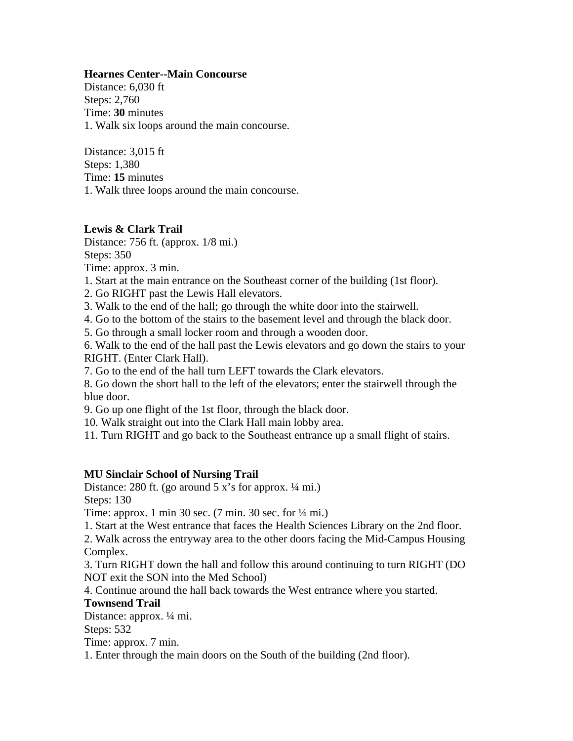## **Hearnes Center--Main Concourse**

Distance: 6,030 ft Steps: 2,760 Time: **30** minutes 1. Walk six loops around the main concourse.

Distance: 3,015 ft Steps: 1,380 Time: **15** minutes 1. Walk three loops around the main concourse.

## **Lewis & Clark Trail**

Distance: 756 ft. (approx. 1/8 mi.) Steps: 350

Time: approx. 3 min.

- 1. Start at the main entrance on the Southeast corner of the building (1st floor).
- 2. Go RIGHT past the Lewis Hall elevators.
- 3. Walk to the end of the hall; go through the white door into the stairwell.
- 4. Go to the bottom of the stairs to the basement level and through the black door.
- 5. Go through a small locker room and through a wooden door.
- 6. Walk to the end of the hall past the Lewis elevators and go down the stairs to your RIGHT. (Enter Clark Hall).

7. Go to the end of the hall turn LEFT towards the Clark elevators.

8. Go down the short hall to the left of the elevators; enter the stairwell through the blue door.

9. Go up one flight of the 1st floor, through the black door.

10. Walk straight out into the Clark Hall main lobby area.

11. Turn RIGHT and go back to the Southeast entrance up a small flight of stairs.

## **MU Sinclair School of Nursing Trail**

Distance: 280 ft. (go around  $5 x$ 's for approx.  $\frac{1}{4}$  mi.) Steps: 130

Time: approx. 1 min 30 sec. (7 min. 30 sec. for ¼ mi.)

1. Start at the West entrance that faces the Health Sciences Library on the 2nd floor.

2. Walk across the entryway area to the other doors facing the Mid-Campus Housing Complex.

3. Turn RIGHT down the hall and follow this around continuing to turn RIGHT (DO NOT exit the SON into the Med School)

4. Continue around the hall back towards the West entrance where you started.

## **Townsend Trail**

Distance: approx. ¼ mi.

Steps: 532

Time: approx. 7 min.

1. Enter through the main doors on the South of the building (2nd floor).